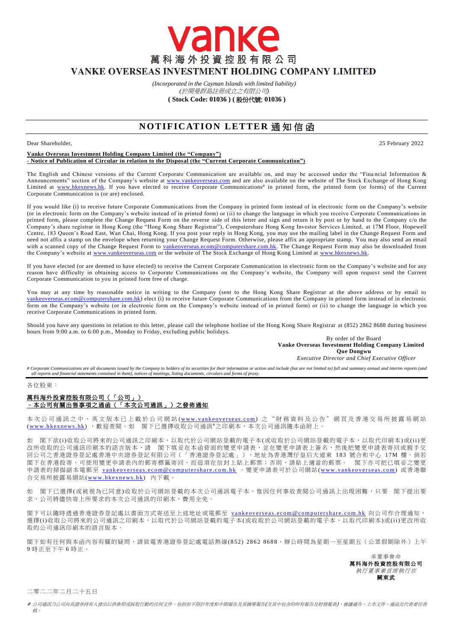VANKE OVERSEAS INVESTMENT HOLDING COMPANY LIMITED

*(Incorporated in the Cayman Islands with limited liability)* 

vanke

萬科海外投資控股有限公司

*(*於開曼群島註冊成立之有限公司*)* **( Stock Code: 01036 ) (** 股份代號: **01036 )**

# **NOTIFICATION LETTER 通知信函**

#### Dear Shareholder, 25 February 2022

#### **Vanke Overseas Investment Holding Company Limited (the "Company") - Notice of Publication of Circular in relation to the Disposal (the "Current Corporate Communication")**

The English and Chinese versions of the Current Corporate Communication are available on, and may be accessed under the "Fina ncial Information & Announcements" section of the Company's website at [www.vankeoverseas.com](http://www.vankeoverseas.com/) and are also available on the website of The Stock Exchange of Hong Kong Limited at [www.hkexnews.hk.](http://www.hkexnews.hk/) If you have elected to receive Corporate Communications<sup>#</sup> in printed form, the printed form (or forms) of the Current Corporate Communication is (or are) enclosed.

If you would like (i) to receive future Corporate Communications from the Company in printed form instead of in electronic form on the Company's website (or in electronic form on the Company's website instead of in printed form) or (ii) to change the language in which you receive Corporate Communications in printed form, please complete the Change Request Form on the reverse side of this letter and sign and return it by post or by hand to the Company c/o the Company's share registrar in Hong Kong (the "Hong Kong Share Registrar"), Computershare Hong Kong Investor Services Limited, at 17M Floor, Hopewell Centre, 183 Queen's Road East, Wan Chai, Hong Kong. If you post your reply in Hong Kong, you may use the mailing label in the Change Request Form and need not affix a stamp on the envelope when returning your Change Request Form. Otherwise, please affix an appropriate stamp. You may also send an email with a scanned copy of the Change Request Form to [vankeoverseas.ecom@computershare.com.hk.](mailto:vankeoverseas.ecom@computershare.com.hk) The Change Request Form may also be downloaded from the Company's website at [www.vankeoverseas.com](http://www.vankeoverseas.com/) or the website of The Stock Exchange of Hong Kong Limited at [www.hkexnews.hk.](http://www.hkexnews.hk/)

If you have elected (or are deemed to have elected) to receive the Current Corporate Communication in electronic form on the Company's website and for any reason have difficulty in obtaining access to Corporate Communications on the Company's website, the Company will upon request send the Current Corporate Communication to you in printed form free of charge.

You may at any time by reasonable notice in writing to the Company (sent to the Hong Kong Share Registrar at the above address or by email to om@computershare.com.hk) elect (i) to receive future Corporate Communications from the Company in printed form instead of in electronic form on the Company's website (or in electronic form on the Company's website instead of in printed form) or (ii) to c hange the language in which you receive Corporate Communications in printed form.

Should you have any questions in relation to this letter, please call the telephone hotline of the Hong Kong Share Registrar at (852) 2862 8688 during business hours from 9:00 a.m. to 6:00 p.m., Monday to Friday, excluding public holidays.

By order of the Board **Vanke Overseas Investment Holding Company Limited Que Dongwu**

*Executive Director and Chief Executive Officer*

# Corporate Communications are all documents issued by the Company to holders of its securities for their information or action and include (but are not limited to) full and summary annual and interim reports (and *all reports and financial statements contained in them), notices of meetings, listing documents, circulars and forms of proxy.*

各位股東:

### 萬科海外投資控股有限公司(「公司」) –本公司有關出售事項之通函(「本次公司通訊」)之發佈通知

本次公司通訊之中、英文版本已上載於公司網站 (www.vankeoverseas.com) 之 "財務資料及公告"網頁及香港交易所披露易網站 (www.hkexnews.hk), 歡迎查閱。如 閣下已選擇收取公司通訊#之印刷本,本次公司通訊隨本函附上。

如 閣下欲(i)收取公司將來的公司通訊之印刷本,以取代於公司網站登載的電子本(或收取於公司網站登載的電子本,以取代印刷本)或(ii)更 改所收取的公司通訊印刷本的語言版本,請 閣下填妥在本函背面的變更申請表,並在變更申請表上簽名,然後把變更申請表寄回或親手交 回公司之香港證券登記處香港中央證券登記有限公司(「香港證券登記處」),地址為香港灣仔皇后大道東 183 號合和中心 1 7M 樓。倘若 閣下在香港投寄,可使用變更申請表內的郵寄標籤寄回,而毋須在信封上貼上郵票;否則,請貼上適當的郵票。 閣下亦可把已填妥之變更 申請表的掃描副本電郵至 vankeoverseas.ecom@computershare.com.hk 。變更申請表可於公司網站(www.vankeoverseas.com) 或香港聯 合交易所披露易網站(www.hkexnews.hk) 內下載。

如 閣下已選擇(或被視為已同意)收取於公司網站登載的本次公司通訊電子本,惟因任何事故查閱公司通訊上出現困難,只要 閣下提出要 求,公司將儘快寄上所要求的本次公司通訊的印刷本,費用全免。

閣下可以隨時透過香港證券登記處以書面方式寄送至上述地址或電郵至 vankeoverseas.ecom@computershare.com.hk 向公司作合理通知, 選擇(i)收取公司將來的公司通訊之印刷本,以取代於公司網站登載的電子本(或收取於公司網站登載的電子本,以取代印刷本)或(ii)更改所收 取的公司通訊印刷本的語言版本。

閣下如有任何與本函內容有關的疑問,請致電香港證券登記處電話熱線( 852) 2862 8688,辦公時間為星期一至星期五(公眾假期除外)上午 9 時正至下午 6 時正。

> 承董事會命 萬科海外投資控股有限公司 執行董事兼首席執行官 闕東武

二零二二年二月二十五日

# 公司通訊乃公司向其證券持有人發出以供參照或採取行動的任何文件,包括但不限於年度和中期報告及其摘要報告(及其中包含的所有報告及財務報表)、會議通告、上市文件、通函及代表委任表 格。